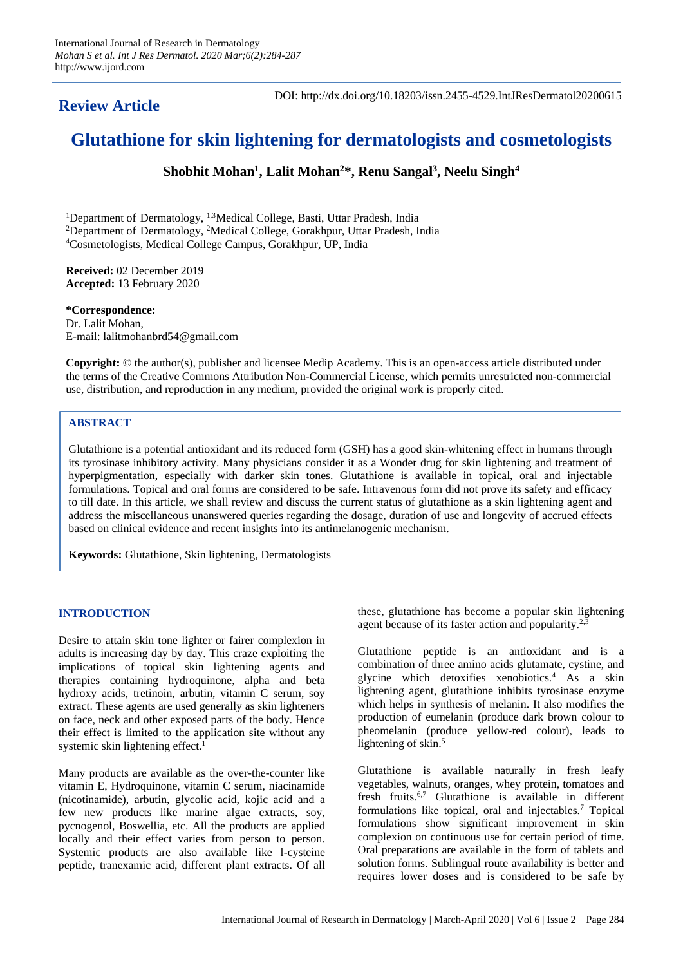# **Review Article**

DOI: http://dx.doi.org/10.18203/issn.2455-4529.IntJResDermatol20200615

# **Glutathione for skin lightening for dermatologists and cosmetologists**

**Shobhit Mohan<sup>1</sup> , Lalit Mohan<sup>2</sup>\*, Renu Sangal<sup>3</sup> , Neelu Singh<sup>4</sup>**

<sup>1</sup>Department of Dermatology, <sup>1,3</sup>Medical College, Basti, Uttar Pradesh, India <sup>2</sup>Department of Dermatology, <sup>2</sup>Medical College, Gorakhpur, Uttar Pradesh, India <sup>4</sup>Cosmetologists, Medical College Campus, Gorakhpur, UP, India

**Received:** 02 December 2019 **Accepted:** 13 February 2020

**\*Correspondence:** Dr. Lalit Mohan, E-mail: lalitmohanbrd54@gmail.com

**Copyright:** © the author(s), publisher and licensee Medip Academy. This is an open-access article distributed under the terms of the Creative Commons Attribution Non-Commercial License, which permits unrestricted non-commercial use, distribution, and reproduction in any medium, provided the original work is properly cited.

# **ABSTRACT**

Glutathione is a potential antioxidant and its reduced form (GSH) has a good skin-whitening effect in humans through its tyrosinase inhibitory activity. Many physicians consider it as a Wonder drug for skin lightening and treatment of hyperpigmentation, especially with darker skin tones. Glutathione is available in topical, oral and injectable formulations. Topical and oral forms are considered to be safe. Intravenous form did not prove its safety and efficacy to till date. In this article, we shall review and discuss the current status of glutathione as a skin lightening agent and address the miscellaneous unanswered queries regarding the dosage, duration of use and longevity of accrued effects based on clinical evidence and recent insights into its antimelanogenic mechanism.

**Keywords:** Glutathione, Skin lightening, Dermatologists

# **INTRODUCTION**

Desire to attain skin tone lighter or fairer complexion in adults is increasing day by day. This craze exploiting the implications of topical skin lightening agents and therapies containing hydroquinone, alpha and beta hydroxy acids, tretinoin, arbutin, vitamin C serum, soy extract. These agents are used generally as skin lighteners on face, neck and other exposed parts of the body. Hence their effect is limited to the application site without any systemic skin lightening effect.<sup>1</sup>

Many products are available as the over-the-counter like vitamin E, Hydroquinone, vitamin C serum, niacinamide (nicotinamide), arbutin, glycolic acid, kojic acid and a few new products like marine algae extracts, soy, pycnogenol, Boswellia, etc. All the products are applied locally and their effect varies from person to person. Systemic products are also available like l-cysteine peptide, tranexamic acid, different plant extracts. Of all these, glutathione has become a popular skin lightening agent because of its faster action and popularity.2,3

Glutathione peptide is an antioxidant and is a combination of three amino acids glutamate, cystine, and glycine which detoxifies xenobiotics.<sup>4</sup> As a skin lightening agent, glutathione inhibits tyrosinase enzyme which helps in synthesis of melanin. It also modifies the production of eumelanin (produce dark brown colour to pheomelanin (produce yellow-red colour), leads to lightening of skin.<sup>5</sup>

Glutathione is available naturally in fresh leafy vegetables, walnuts, oranges, whey protein, tomatoes and fresh fruits.6,7 Glutathione is available in different formulations like topical, oral and injectables.<sup>7</sup> Topical formulations show significant improvement in skin complexion on continuous use for certain period of time. Oral preparations are available in the form of tablets and solution forms. Sublingual route availability is better and requires lower doses and is considered to be safe by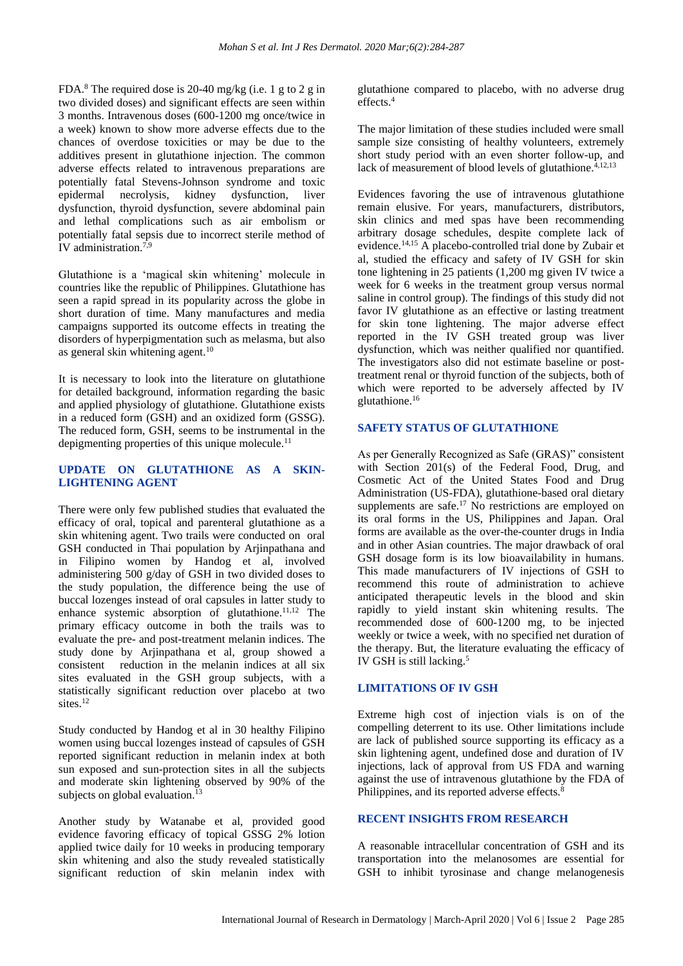FDA.<sup>8</sup> The required dose is 20-40 mg/kg (i.e. 1 g to 2 g in two divided doses) and significant effects are seen within 3 months. Intravenous doses (600-1200 mg once/twice in a week) known to show more adverse effects due to the chances of overdose toxicities or may be due to the additives present in glutathione injection. The common adverse effects related to intravenous preparations are potentially fatal Stevens-Johnson syndrome and toxic epidermal necrolysis, kidney dysfunction, liver dysfunction, thyroid dysfunction, severe abdominal pain and lethal complications such as air embolism or potentially fatal sepsis due to incorrect sterile method of IV administration.7,9

Glutathione is a 'magical skin whitening' molecule in countries like the republic of Philippines. Glutathione has seen a rapid spread in its popularity across the globe in short duration of time. Many manufactures and media campaigns supported its outcome effects in treating the disorders of hyperpigmentation such as melasma, but also as general skin whitening agent.<sup>10</sup>

It is necessary to look into the literature on glutathione for detailed background, information regarding the basic and applied physiology of glutathione. Glutathione exists in a reduced form (GSH) and an oxidized form (GSSG). The reduced form, GSH, seems to be instrumental in the depigmenting properties of this unique molecule. $^{11}$ 

# **UPDATE ON GLUTATHIONE AS A SKIN-LIGHTENING AGENT**

There were only few published studies that evaluated the efficacy of oral, topical and parenteral glutathione as a skin whitening agent. Two trails were conducted on oral GSH conducted in Thai population by Arjinpathana and in Filipino women by Handog et al, involved administering 500 g/day of GSH in two divided doses to the study population, the difference being the use of buccal lozenges instead of oral capsules in latter study to enhance systemic absorption of glutathione.<sup>11,12</sup> The primary efficacy outcome in both the trails was to evaluate the pre- and post-treatment melanin indices. The study done by Arjinpathana et al, group showed a consistent reduction in the melanin indices at all six sites evaluated in the GSH group subjects, with a statistically significant reduction over placebo at two sites.<sup>12</sup>

Study conducted by Handog et al in 30 healthy Filipino women using buccal lozenges instead of capsules of GSH reported significant reduction in melanin index at both sun exposed and sun-protection sites in all the subjects and moderate skin lightening observed by 90% of the subjects on global evaluation.<sup>13</sup>

Another study by Watanabe et al, provided good evidence favoring efficacy of topical GSSG 2% lotion applied twice daily for 10 weeks in producing temporary skin whitening and also the study revealed statistically significant reduction of skin melanin index with glutathione compared to placebo, with no adverse drug effects.<sup>4</sup>

The major limitation of these studies included were small sample size consisting of healthy volunteers, extremely short study period with an even shorter follow-up, and lack of measurement of blood levels of glutathione. $4,12,13$ 

Evidences favoring the use of intravenous glutathione remain elusive. For years, manufacturers, distributors, skin clinics and med spas have been recommending arbitrary dosage schedules, despite complete lack of evidence.14,15 A placebo-controlled trial done by Zubair et al, studied the efficacy and safety of IV GSH for skin tone lightening in 25 patients (1,200 mg given IV twice a week for 6 weeks in the treatment group versus normal saline in control group). The findings of this study did not favor IV glutathione as an effective or lasting treatment for skin tone lightening. The major adverse effect reported in the IV GSH treated group was liver dysfunction, which was neither qualified nor quantified. The investigators also did not estimate baseline or posttreatment renal or thyroid function of the subjects, both of which were reported to be adversely affected by IV glutathione.<sup>16</sup>

#### **SAFETY STATUS OF GLUTATHIONE**

As per Generally Recognized as Safe (GRAS)" consistent with Section 201(s) of the Federal Food, Drug, and Cosmetic Act of the United States Food and Drug Administration (US-FDA), glutathione-based oral dietary supplements are safe.<sup>17</sup> No restrictions are employed on its oral forms in the US, Philippines and Japan. Oral forms are available as the over-the-counter drugs in India and in other Asian countries. The major drawback of oral GSH dosage form is its low bioavailability in humans. This made manufacturers of IV injections of GSH to recommend this route of administration to achieve anticipated therapeutic levels in the blood and skin rapidly to yield instant skin whitening results. The recommended dose of 600-1200 mg, to be injected weekly or twice a week, with no specified net duration of the therapy. But, the literature evaluating the efficacy of IV GSH is still lacking.<sup>5</sup>

# **LIMITATIONS OF IV GSH**

Extreme high cost of injection vials is on of the compelling deterrent to its use. Other limitations include are lack of published source supporting its efficacy as a skin lightening agent, undefined dose and duration of IV injections, lack of approval from US FDA and warning against the use of intravenous glutathione by the FDA of Philippines, and its reported adverse effects.<sup>8</sup>

# **RECENT INSIGHTS FROM RESEARCH**

A reasonable intracellular concentration of GSH and its transportation into the melanosomes are essential for GSH to inhibit tyrosinase and change melanogenesis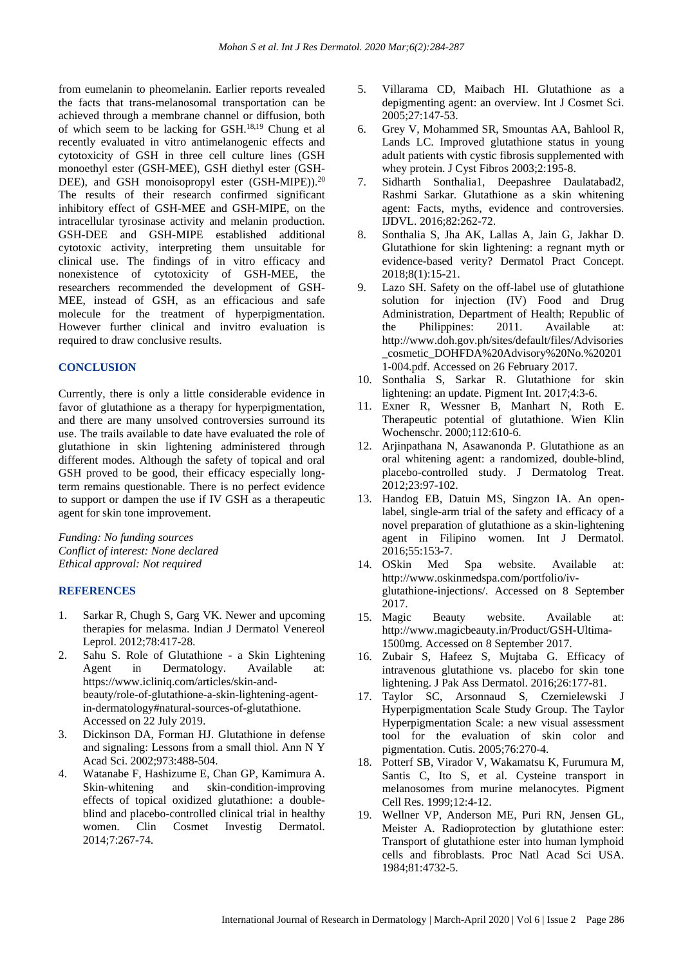from eumelanin to pheomelanin. Earlier reports revealed the facts that trans-melanosomal transportation can be achieved through a membrane channel or diffusion, both of which seem to be lacking for GSH.18,19 Chung et al recently evaluated in vitro antimelanogenic effects and cytotoxicity of GSH in three cell culture lines (GSH monoethyl ester (GSH-MEE), GSH diethyl ester (GSH-DEE), and GSH monoisopropyl ester (GSH-MIPE)).<sup>20</sup> The results of their research confirmed significant inhibitory effect of GSH-MEE and GSH-MIPE, on the intracellular tyrosinase activity and melanin production. GSH-DEE and GSH-MIPE established additional cytotoxic activity, interpreting them unsuitable for clinical use. The findings of in vitro efficacy and nonexistence of cytotoxicity of GSH-MEE, the researchers recommended the development of GSH-MEE, instead of GSH, as an efficacious and safe molecule for the treatment of hyperpigmentation. However further clinical and invitro evaluation is required to draw conclusive results.

#### **CONCLUSION**

Currently, there is only a little considerable evidence in favor of glutathione as a therapy for hyperpigmentation, and there are many unsolved controversies surround its use. The trails available to date have evaluated the role of glutathione in skin lightening administered through different modes. Although the safety of topical and oral GSH proved to be good, their efficacy especially longterm remains questionable. There is no perfect evidence to support or dampen the use if IV GSH as a therapeutic agent for skin tone improvement.

*Funding: No funding sources Conflict of interest: None declared Ethical approval: Not required*

## **REFERENCES**

- 1. Sarkar R, Chugh S, Garg VK. Newer and upcoming therapies for melasma. Indian J Dermatol Venereol Leprol. 2012;78:417-28.
- 2. Sahu S. Role of Glutathione a Skin Lightening Agent in Dermatology. Available at: https://www.icliniq.com/articles/skin-andbeauty/role-of-glutathione-a-skin-lightening-agentin-dermatology#natural-sources-of-glutathione. Accessed on 22 July 2019.
- 3. Dickinson DA, Forman HJ. Glutathione in defense and signaling: Lessons from a small thiol. Ann N Y Acad Sci. 2002;973:488-504.
- 4. Watanabe F, Hashizume E, Chan GP, Kamimura A. Skin-whitening and skin-condition-improving effects of topical oxidized glutathione: a doubleblind and placebo-controlled clinical trial in healthy women. Clin Cosmet Investig Dermatol. 2014;7:267-74.
- 5. Villarama CD, Maibach HI. Glutathione as a depigmenting agent: an overview. Int J Cosmet Sci. 2005;27:147-53.
- 6. Grey V, Mohammed SR, Smountas AA, Bahlool R, Lands LC. Improved glutathione status in young adult patients with cystic fibrosis supplemented with whey protein. J Cyst Fibros 2003;2:195-8.
- 7. Sidharth Sonthalia1, Deepashree Daulatabad2, Rashmi Sarkar. Glutathione as a skin whitening agent: Facts, myths, evidence and controversies. IJDVL. 2016;82:262-72.
- 8. Sonthalia S, Jha AK, Lallas A, Jain G, Jakhar D. Glutathione for skin lightening: a regnant myth or evidence-based verity? Dermatol Pract Concept. 2018;8(1):15-21.
- 9. Lazo SH. Safety on the off-label use of glutathione solution for injection (IV) Food and Drug Administration, Department of Health; Republic of the Philippines: 2011. Available at: http://www.doh.gov.ph/sites/default/files/Advisories \_cosmetic\_DOHFDA%20Advisory%20No.%20201 1-004.pdf. Accessed on 26 February 2017.
- 10. Sonthalia S, Sarkar R. Glutathione for skin lightening: an update. Pigment Int. 2017;4:3-6.
- 11. Exner R, Wessner B, Manhart N, Roth E. Therapeutic potential of glutathione. Wien Klin Wochenschr. 2000;112:610-6.
- 12. Arjinpathana N, Asawanonda P. Glutathione as an oral whitening agent: a randomized, double-blind, placebo-controlled study. J Dermatolog Treat. 2012;23:97-102.
- 13. Handog EB, Datuin MS, Singzon IA. An openlabel, single-arm trial of the safety and efficacy of a novel preparation of glutathione as a skin-lightening agent in Filipino women. Int J Dermatol. 2016;55:153-7.
- 14. OSkin Med Spa website. Available at: http://www.oskinmedspa.com/portfolio/ivglutathione-injections/. Accessed on 8 September 2017.
- 15. Magic Beauty website. Available at: http://www.magicbeauty.in/Product/GSH-Ultima-1500mg. Accessed on 8 September 2017.
- 16. Zubair S, Hafeez S, Mujtaba G. Efficacy of intravenous glutathione vs. placebo for skin tone lightening. J Pak Ass Dermatol. 2016;26:177-81.
- 17. Taylor SC, Arsonnaud S, Czernielewski J Hyperpigmentation Scale Study Group. The Taylor Hyperpigmentation Scale: a new visual assessment tool for the evaluation of skin color and pigmentation. Cutis. 2005;76:270-4.
- 18. Potterf SB, Virador V, Wakamatsu K, Furumura M, Santis C, Ito S, et al. Cysteine transport in melanosomes from murine melanocytes. Pigment Cell Res. 1999;12:4-12.
- 19. Wellner VP, Anderson ME, Puri RN, Jensen GL, Meister A. Radioprotection by glutathione ester: Transport of glutathione ester into human lymphoid cells and fibroblasts. Proc Natl Acad Sci USA. 1984;81:4732-5.